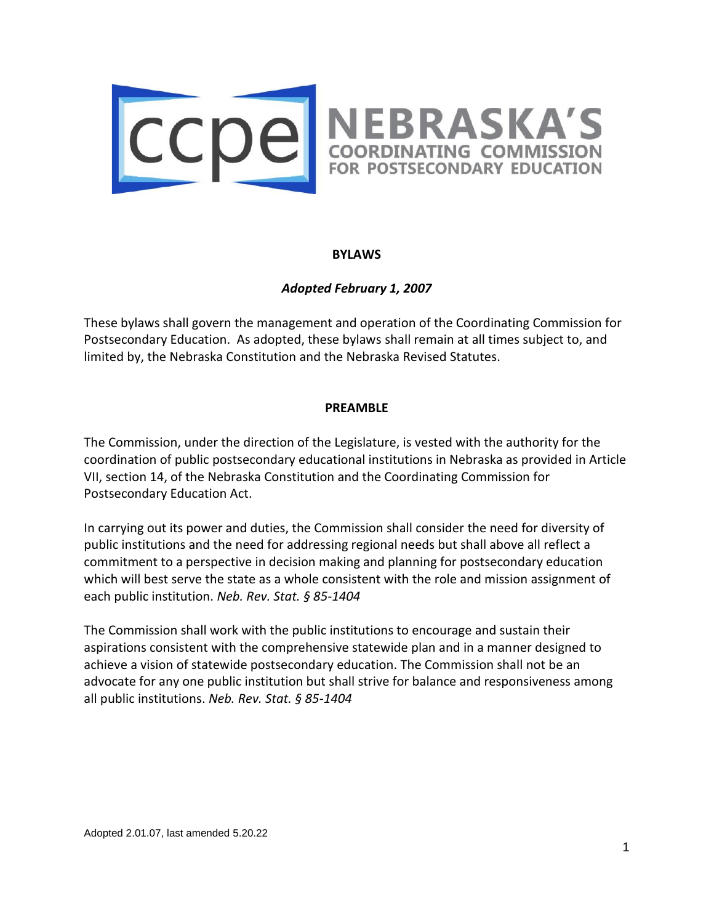

### **BYLAWS**

## *Adopted February 1, 2007*

These bylaws shall govern the management and operation of the Coordinating Commission for Postsecondary Education. As adopted, these bylaws shall remain at all times subject to, and limited by, the Nebraska Constitution and the Nebraska Revised Statutes.

#### **PREAMBLE**

The Commission, under the direction of the Legislature, is vested with the authority for the coordination of public postsecondary educational institutions in Nebraska as provided in Article VII, section 14, of the Nebraska Constitution and the Coordinating Commission for Postsecondary Education Act.

In carrying out its power and duties, the Commission shall consider the need for diversity of public institutions and the need for addressing regional needs but shall above all reflect a commitment to a perspective in decision making and planning for postsecondary education which will best serve the state as a whole consistent with the role and mission assignment of each public institution. *Neb. Rev. Stat. § 85-1404*

The Commission shall work with the public institutions to encourage and sustain their aspirations consistent with the comprehensive statewide plan and in a manner designed to achieve a vision of statewide postsecondary education. The Commission shall not be an advocate for any one public institution but shall strive for balance and responsiveness among all public institutions. *Neb. Rev. Stat. § 85-1404*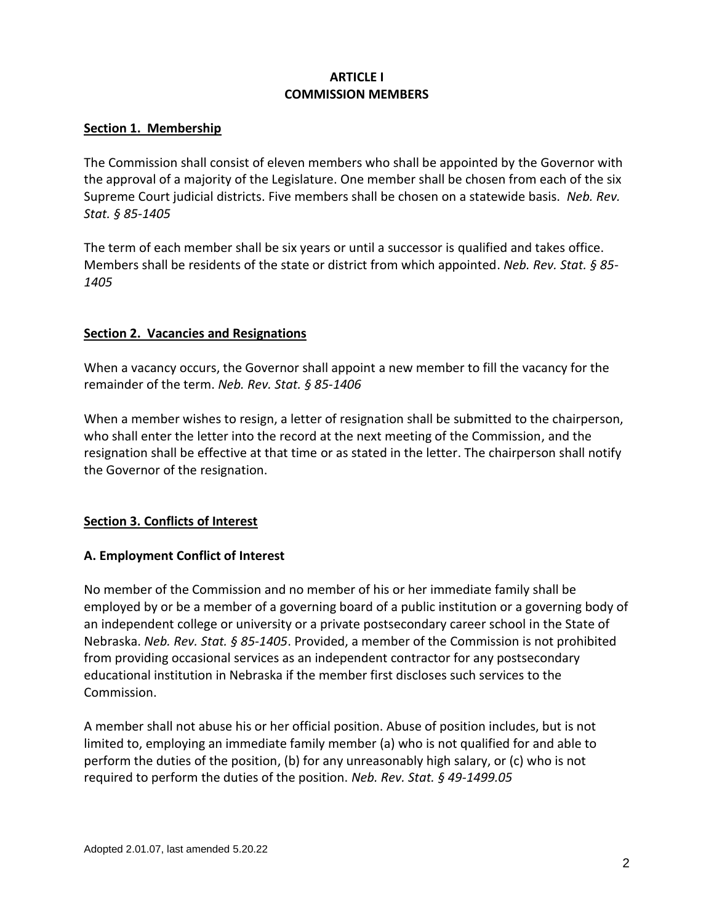# **ARTICLE I COMMISSION MEMBERS**

### **Section 1. Membership**

The Commission shall consist of eleven members who shall be appointed by the Governor with the approval of a majority of the Legislature. One member shall be chosen from each of the six Supreme Court judicial districts. Five members shall be chosen on a statewide basis. *Neb. Rev. Stat. § 85-1405*

The term of each member shall be six years or until a successor is qualified and takes office. Members shall be residents of the state or district from which appointed. *Neb. Rev. Stat. § 85- 1405*

## **Section 2. Vacancies and Resignations**

When a vacancy occurs, the Governor shall appoint a new member to fill the vacancy for the remainder of the term. *Neb. Rev. Stat. § 85-1406*

When a member wishes to resign, a letter of resignation shall be submitted to the chairperson, who shall enter the letter into the record at the next meeting of the Commission, and the resignation shall be effective at that time or as stated in the letter. The chairperson shall notify the Governor of the resignation.

# **Section 3. Conflicts of Interest**

### **A. Employment Conflict of Interest**

No member of the Commission and no member of his or her immediate family shall be employed by or be a member of a governing board of a public institution or a governing body of an independent college or university or a private postsecondary career school in the State of Nebraska. *Neb. Rev. Stat. § 85-1405*. Provided, a member of the Commission is not prohibited from providing occasional services as an independent contractor for any postsecondary educational institution in Nebraska if the member first discloses such services to the Commission.

A member shall not abuse his or her official position. Abuse of position includes, but is not limited to, employing an immediate family member (a) who is not qualified for and able to perform the duties of the position, (b) for any unreasonably high salary, or (c) who is not required to perform the duties of the position. *Neb. Rev. Stat. § 49-1499.05*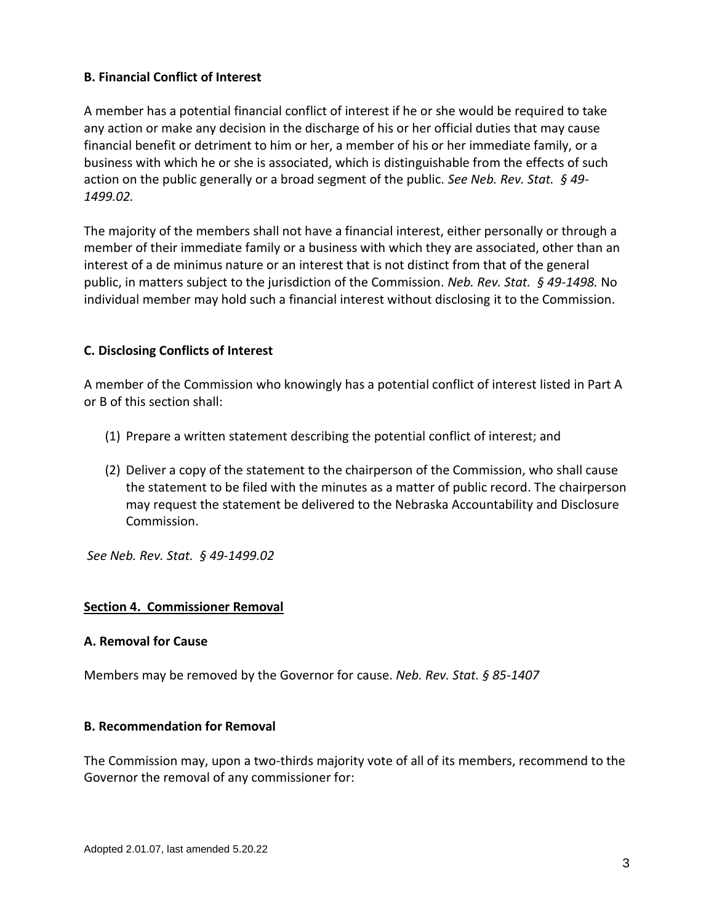## **B. Financial Conflict of Interest**

A member has a potential financial conflict of interest if he or she would be required to take any action or make any decision in the discharge of his or her official duties that may cause financial benefit or detriment to him or her, a member of his or her immediate family, or a business with which he or she is associated, which is distinguishable from the effects of such action on the public generally or a broad segment of the public. *See Neb. Rev. Stat. § 49- 1499.02.*

The majority of the members shall not have a financial interest, either personally or through a member of their immediate family or a business with which they are associated, other than an interest of a de minimus nature or an interest that is not distinct from that of the general public, in matters subject to the jurisdiction of the Commission. *Neb. Rev. Stat. § 49-1498.* No individual member may hold such a financial interest without disclosing it to the Commission.

### **C. Disclosing Conflicts of Interest**

A member of the Commission who knowingly has a potential conflict of interest listed in Part A or B of this section shall:

- (1) Prepare a written statement describing the potential conflict of interest; and
- (2) Deliver a copy of the statement to the chairperson of the Commission, who shall cause the statement to be filed with the minutes as a matter of public record. The chairperson may request the statement be delivered to the Nebraska Accountability and Disclosure Commission.

*See Neb. Rev. Stat. § 49-1499.02*

### **Section 4. Commissioner Removal**

### **A. Removal for Cause**

Members may be removed by the Governor for cause. *Neb. Rev. Stat. § 85-1407*

#### **B. Recommendation for Removal**

The Commission may, upon a two-thirds majority vote of all of its members, recommend to the Governor the removal of any commissioner for: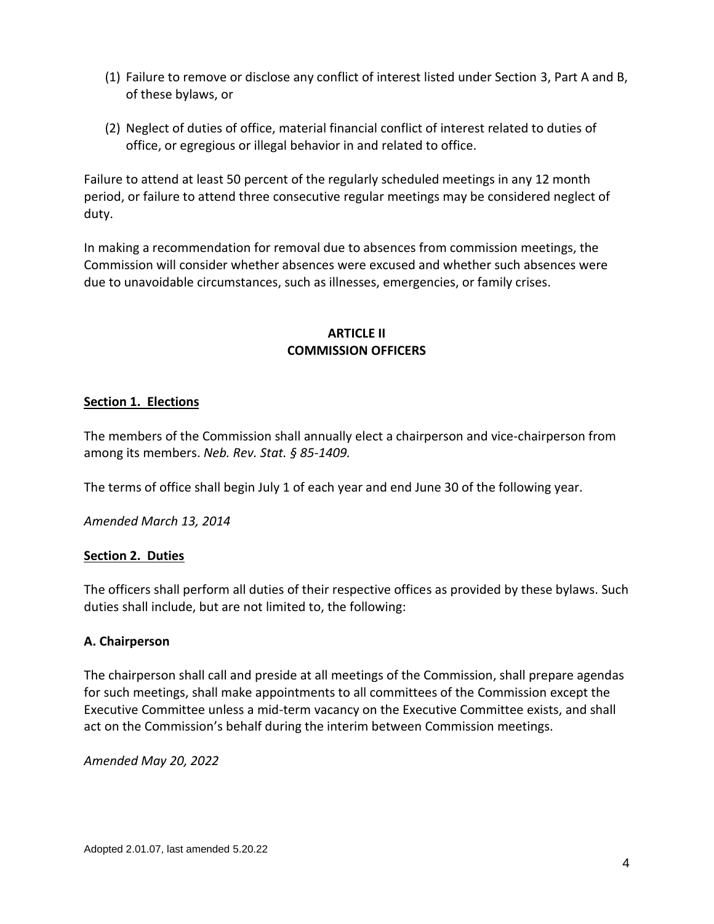- (1) Failure to remove or disclose any conflict of interest listed under Section 3, Part A and B, of these bylaws, or
- (2) Neglect of duties of office, material financial conflict of interest related to duties of office, or egregious or illegal behavior in and related to office.

Failure to attend at least 50 percent of the regularly scheduled meetings in any 12 month period, or failure to attend three consecutive regular meetings may be considered neglect of duty.

In making a recommendation for removal due to absences from commission meetings, the Commission will consider whether absences were excused and whether such absences were due to unavoidable circumstances, such as illnesses, emergencies, or family crises.

# **ARTICLE II COMMISSION OFFICERS**

# **Section 1. Elections**

The members of the Commission shall annually elect a chairperson and vice-chairperson from among its members. *Neb. Rev. Stat. § 85-1409.*

The terms of office shall begin July 1 of each year and end June 30 of the following year.

*Amended March 13, 2014*

# **Section 2. Duties**

The officers shall perform all duties of their respective offices as provided by these bylaws. Such duties shall include, but are not limited to, the following:

# **A. Chairperson**

The chairperson shall call and preside at all meetings of the Commission, shall prepare agendas for such meetings, shall make appointments to all committees of the Commission except the Executive Committee unless a mid-term vacancy on the Executive Committee exists, and shall act on the Commission's behalf during the interim between Commission meetings.

*Amended May 20, 2022*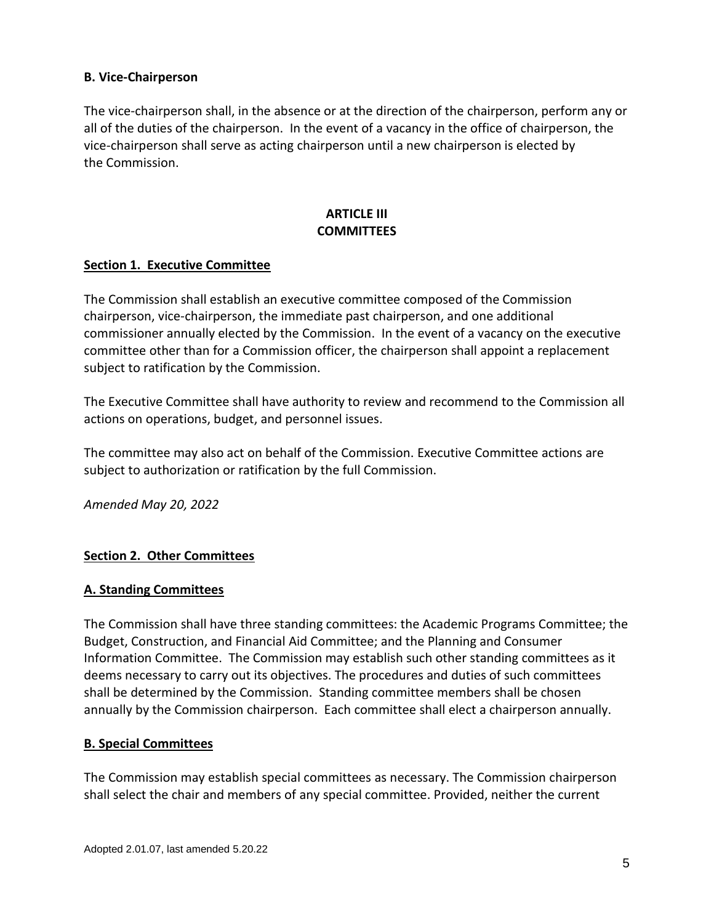### **B. Vice-Chairperson**

The vice-chairperson shall, in the absence or at the direction of the chairperson, perform any or all of the duties of the chairperson. In the event of a vacancy in the office of chairperson, the vice-chairperson shall serve as acting chairperson until a new chairperson is elected by the Commission.

# **ARTICLE III COMMITTEES**

### **Section 1. Executive Committee**

The Commission shall establish an executive committee composed of the Commission chairperson, vice-chairperson, the immediate past chairperson, and one additional commissioner annually elected by the Commission. In the event of a vacancy on the executive committee other than for a Commission officer, the chairperson shall appoint a replacement subject to ratification by the Commission.

The Executive Committee shall have authority to review and recommend to the Commission all actions on operations, budget, and personnel issues.

The committee may also act on behalf of the Commission. Executive Committee actions are subject to authorization or ratification by the full Commission.

*Amended May 20, 2022*

# **Section 2. Other Committees**

### **A. Standing Committees**

The Commission shall have three standing committees: the Academic Programs Committee; the Budget, Construction, and Financial Aid Committee; and the Planning and Consumer Information Committee. The Commission may establish such other standing committees as it deems necessary to carry out its objectives. The procedures and duties of such committees shall be determined by the Commission. Standing committee members shall be chosen annually by the Commission chairperson. Each committee shall elect a chairperson annually.

# **B. Special Committees**

The Commission may establish special committees as necessary. The Commission chairperson shall select the chair and members of any special committee. Provided, neither the current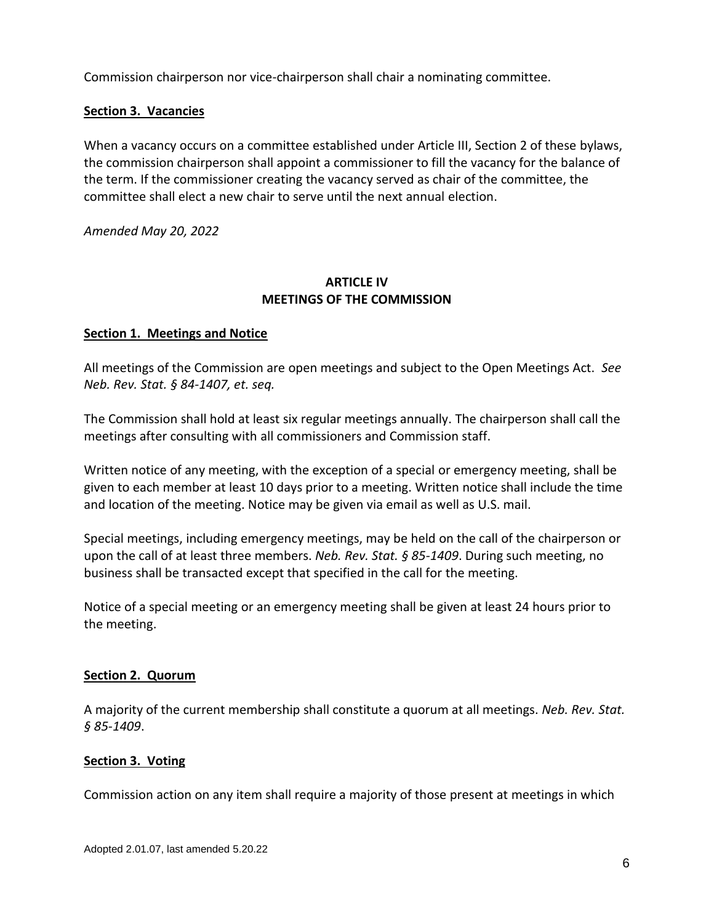Commission chairperson nor vice-chairperson shall chair a nominating committee.

### **Section 3. Vacancies**

When a vacancy occurs on a committee established under Article III, Section 2 of these bylaws, the commission chairperson shall appoint a commissioner to fill the vacancy for the balance of the term. If the commissioner creating the vacancy served as chair of the committee, the committee shall elect a new chair to serve until the next annual election.

*Amended May 20, 2022*

## **ARTICLE IV MEETINGS OF THE COMMISSION**

### **Section 1. Meetings and Notice**

All meetings of the Commission are open meetings and subject to the Open Meetings Act. *See Neb. Rev. Stat. § 84-1407, et. seq.*

The Commission shall hold at least six regular meetings annually. The chairperson shall call the meetings after consulting with all commissioners and Commission staff.

Written notice of any meeting, with the exception of a special or emergency meeting, shall be given to each member at least 10 days prior to a meeting. Written notice shall include the time and location of the meeting. Notice may be given via email as well as U.S. mail.

Special meetings, including emergency meetings, may be held on the call of the chairperson or upon the call of at least three members. *Neb. Rev. Stat. § 85-1409*. During such meeting, no business shall be transacted except that specified in the call for the meeting.

Notice of a special meeting or an emergency meeting shall be given at least 24 hours prior to the meeting.

### **Section 2. Quorum**

A majority of the current membership shall constitute a quorum at all meetings. *Neb. Rev. Stat. § 85-1409*.

### **Section 3. Voting**

Commission action on any item shall require a majority of those present at meetings in which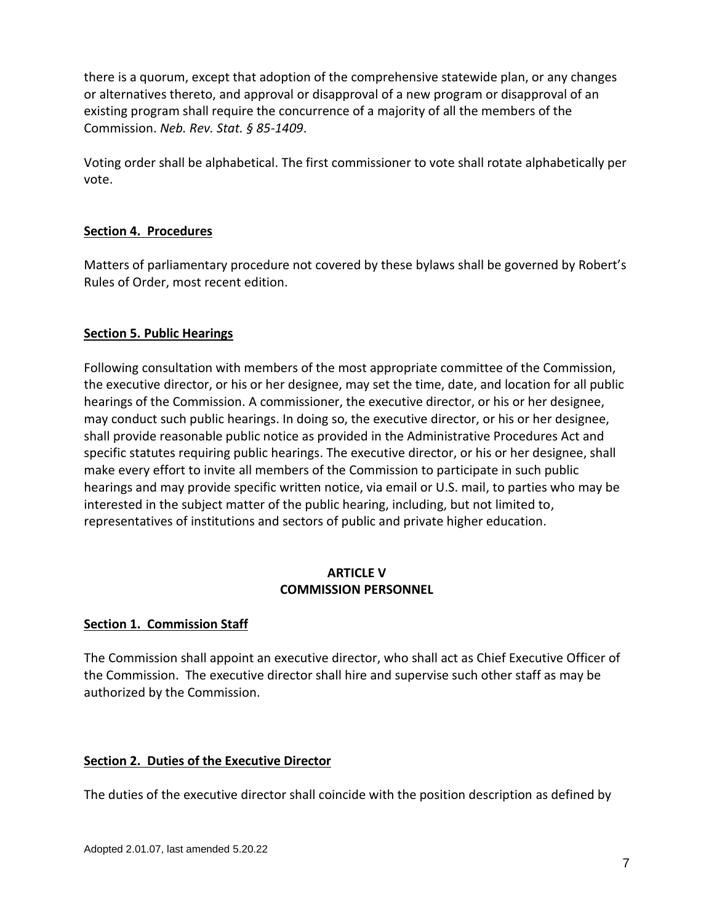there is a quorum, except that adoption of the comprehensive statewide plan, or any changes or alternatives thereto, and approval or disapproval of a new program or disapproval of an existing program shall require the concurrence of a majority of all the members of the Commission. *Neb. Rev. Stat. § 85-1409*.

Voting order shall be alphabetical. The first commissioner to vote shall rotate alphabetically per vote.

# **Section 4. Procedures**

Matters of parliamentary procedure not covered by these bylaws shall be governed by Robert's Rules of Order, most recent edition.

## **Section 5. Public Hearings**

Following consultation with members of the most appropriate committee of the Commission, the executive director, or his or her designee, may set the time, date, and location for all public hearings of the Commission. A commissioner, the executive director, or his or her designee, may conduct such public hearings. In doing so, the executive director, or his or her designee, shall provide reasonable public notice as provided in the Administrative Procedures Act and specific statutes requiring public hearings. The executive director, or his or her designee, shall make every effort to invite all members of the Commission to participate in such public hearings and may provide specific written notice, via email or U.S. mail, to parties who may be interested in the subject matter of the public hearing, including, but not limited to, representatives of institutions and sectors of public and private higher education.

#### **ARTICLE V COMMISSION PERSONNEL**

### **Section 1. Commission Staff**

The Commission shall appoint an executive director, who shall act as Chief Executive Officer of the Commission. The executive director shall hire and supervise such other staff as may be authorized by the Commission.

### **Section 2. Duties of the Executive Director**

The duties of the executive director shall coincide with the position description as defined by